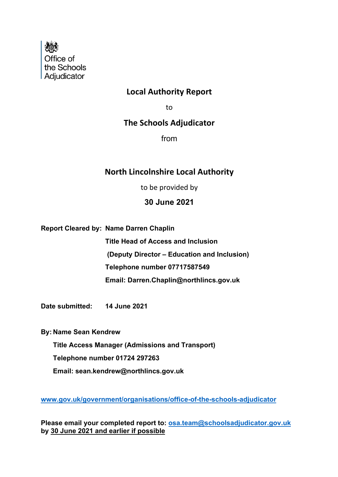

### **Local Authority Report**

to

### **The Schools Adjudicator**

from

### **North Lincolnshire Local Authority**

to be provided by

#### **30 June 2021**

**Report Cleared by: Name Darren Chaplin**

**Title Head of Access and Inclusion (Deputy Director – Education and Inclusion) Telephone number 07717587549 Email: Darren.Chaplin@northlincs.gov.uk**

**Date submitted: 14 June 2021**

**By: Name Sean Kendrew**

**Title Access Manager (Admissions and Transport)**

 **Telephone number 01724 297263**

 **Email: sean.kendrew@northlincs.gov.uk**

**www.gov.uk/government/organisations/office-of-the-schools-adjudicator**

**Please email your completed report to: osa.team@schoolsadjudicator.gov.uk by 30 June 2021 and earlier if possible**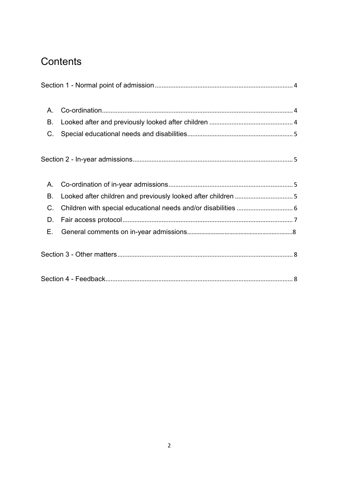# **Contents**

| A. |                                                                |  |
|----|----------------------------------------------------------------|--|
| Β. |                                                                |  |
| C. |                                                                |  |
|    |                                                                |  |
| Α. |                                                                |  |
| B. | Looked after children and previously looked after children 5   |  |
| C. | Children with special educational needs and/or disabilities  6 |  |
| D. |                                                                |  |
| Е. |                                                                |  |
|    |                                                                |  |
|    |                                                                |  |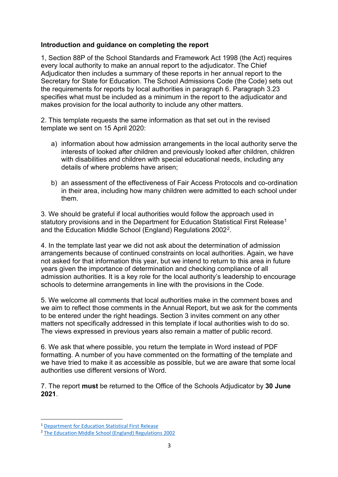#### **Introduction and guidance on completing the report**

1, Section 88P of the School Standards and Framework Act 1998 (the Act) requires every local authority to make an annual report to the adjudicator. The Chief Adjudicator then includes a summary of these reports in her annual report to the Secretary for State for Education. The School Admissions Code (the Code) sets out the requirements for reports by local authorities in paragraph 6. Paragraph 3.23 specifies what must be included as a minimum in the report to the adjudicator and makes provision for the local authority to include any other matters.

2. This template requests the same information as that set out in the revised template we sent on 15 April 2020:

- a) information about how admission arrangements in the local authority serve the interests of looked after children and previously looked after children, children with disabilities and children with special educational needs, including any details of where problems have arisen;
- b) an assessment of the effectiveness of Fair Access Protocols and co-ordination in their area, including how many children were admitted to each school under them.

3. We should be grateful if local authorities would follow the approach used in statutory provisions and in the Department for Education Statistical First Release<sup>[1](#page-2-0)</sup> and the Education Middle School (England) Regulations 2002[2.](#page-2-1)

4. In the template last year we did not ask about the determination of admission arrangements because of continued constraints on local authorities. Again, we have not asked for that information this year, but we intend to return to this area in future years given the importance of determination and checking compliance of all admission authorities. It is a key role for the local authority's leadership to encourage schools to determine arrangements in line with the provisions in the Code.

5. We welcome all comments that local authorities make in the comment boxes and we aim to reflect those comments in the Annual Report, but we ask for the comments to be entered under the right headings. Section 3 invites comment on any other matters not specifically addressed in this template if local authorities wish to do so. The views expressed in previous years also remain a matter of public record.

6. We ask that where possible, you return the template in Word instead of PDF formatting. A number of you have commented on the formatting of the template and we have tried to make it as accessible as possible, but we are aware that some local authorities use different versions of Word.

7. The report **must** be returned to the Office of the Schools Adjudicator by **30 June 2021**.

<span id="page-2-0"></span><sup>1</sup> Department for Education Statistical First Release

<span id="page-2-1"></span><sup>2</sup> The Education Middle School (England) Regulations 2002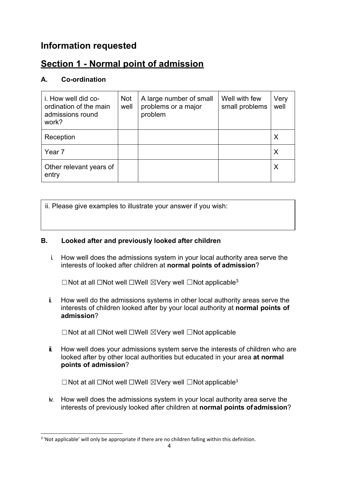## **Information requested**

## **Section 1 - Normal point of admission**

#### **A. Co-ordination**

| i. How well did co-<br>ordination of the main<br>admissions round<br>work? | <b>Not</b><br>well | A large number of small<br>problems or a major<br>problem | Well with few<br>small problems | Very<br>well |
|----------------------------------------------------------------------------|--------------------|-----------------------------------------------------------|---------------------------------|--------------|
| Reception                                                                  |                    |                                                           |                                 | X            |
| Year 7                                                                     |                    |                                                           |                                 |              |
| Other relevant years of<br>entry                                           |                    |                                                           |                                 |              |

ii. Please give examples to illustrate your answer if you wish:

#### **B. Looked after and previously looked after children**

i. How well does the admissions system in your local authority area serve the interests of looked after children at **normal points of admission**?

☐Not at all ☐Not well ☐Well ☒Very well ☐Not applicabl[e3](#page-3-0)

ii. How well do the admissions systems in other local authority areas serve the interests of children looked after by your local authority at **normal points of admission**?

☐Not at all ☐Not well ☐Well ☒Very well ☐Not applicable

 $\ddot{\mathbf{i}}$ . How well does your admissions system serve the interests of children who are looked after by other local authorities but educated in your area **at normal points of admission**?

☐Not at all ☐Not well ☐Well ☒Very well ☐Not applicable<sup>3</sup>

iv. How well does the admissions system in your local authority area serve the interests of previously looked after children at **normal points ofadmission**?

<span id="page-3-0"></span><sup>&</sup>lt;sup>3</sup> 'Not applicable' will only be appropriate if there are no children falling within this definition.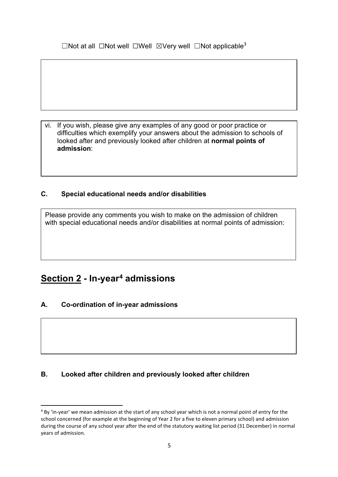□Not at all □Not well □Well ⊠Very well □Not applicable<sup>3</sup>

vi. If you wish, please give any examples of any good or poor practice or difficulties which exemplify your answers about the admission to schools of looked after and previously looked after children at **normal points of admission**:

#### **C. Special educational needs and/or disabilities**

Please provide any comments you wish to make on the admission of children with special educational needs and/or disabilities at normal points of admission:

### **<u>Section 2</u> - In-year<sup>[4](#page-4-0)</sup> admissions</u>**

#### **A. Co-ordination of in-year admissions**

#### **B. Looked after children and previously looked after children**

<span id="page-4-0"></span><sup>&</sup>lt;sup>4</sup> By 'in-year' we mean admission at the start of any school year which is not a normal point of entry for the school concerned (for example at the beginning of Year 2 for a five to eleven primary school) and admission during the course of any school year after the end of the statutory waiting list period (31 December) in normal years of admission.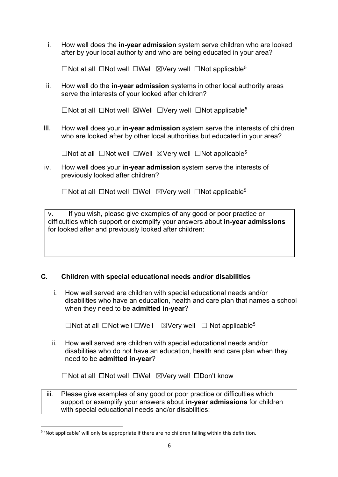i. How well does the **in-year admission** system serve children who are looked after by your local authority and who are being educated in your area?

☐Not at all ☐Not well ☐Well ☒Very well ☐Not applicable[5](#page-5-0)

ii. How well do the **in-year admission** systems in other local authority areas serve the interests of your looked after children?

☐Not at all ☐Not well ☒Well ☐Very well ☐Not applicable5

iii. How well does your **in-year admission** system serve the interests of children who are looked after by other local authorities but educated in your area?

☐Not at all ☐Not well ☐Well ☒Very well ☐Not applicable5

iv. How well does your **in-year admission** system serve the interests of previously looked after children?

☐Not at all ☐Not well ☐Well ☒Very well ☐Not applicable5

v. If you wish, please give examples of any good or poor practice or difficulties which support or exemplify your answers about **in-year admissions**  for looked after and previously looked after children:

#### **C. Children with special educational needs and/or disabilities**

i. How well served are children with special educational needs and/or disabilities who have an education, health and care plan that names a school when they need to be **admitted in-year**?

☐Not at all ☐Not well ☐Well ☒Very well ☐ Not applicable5

ii. How well served are children with special educational needs and/or disabilities who do not have an education, health and care plan when they need to be **admitted in-year**?

☐Not at all ☐Not well ☐Well ☒Very well ☐Don't know

iii. Please give examples of any good or poor practice or difficulties which support or exemplify your answers about **in-year admissions** for children with special educational needs and/or disabilities:

<span id="page-5-0"></span><sup>5</sup> 'Not applicable' will only be appropriate if there are no children falling within this definition.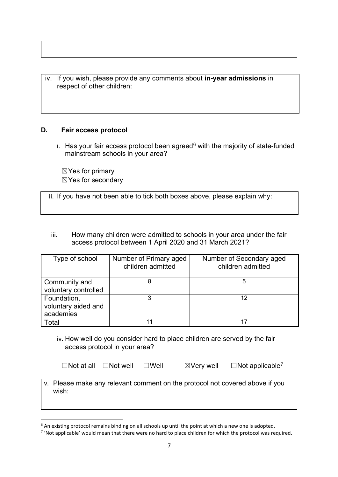iv. If you wish, please provide any comments about **in-year admissions** in respect of other children:

#### **D. Fair access protocol**

i. Has your fair access protocol been agreed $6$  with the majority of state-funded mainstream schools in your area?

☒Yes for primary ☒Yes for secondary

ii. If you have not been able to tick both boxes above, please explain why:

iii. How many children were admitted to schools in your area under the fair access protocol between 1 April 2020 and 31 March 2021?

| Type of school                                  | Number of Primary aged<br>children admitted | Number of Secondary aged<br>children admitted |
|-------------------------------------------------|---------------------------------------------|-----------------------------------------------|
| Community and<br>voluntary controlled           |                                             | 5                                             |
| Foundation,<br>voluntary aided and<br>academies |                                             | 12                                            |
| Total                                           |                                             |                                               |

iv. How well do you consider hard to place children are served by the fair access protocol in your area?

|  | $\Box$ Not at all $\Box$ Not well $\Box$ Well |  | $\boxtimes$ Very well | $\Box$ Not applicable <sup>7</sup> |
|--|-----------------------------------------------|--|-----------------------|------------------------------------|
|--|-----------------------------------------------|--|-----------------------|------------------------------------|

v. Please make any relevant comment on the protocol not covered above if you wish:

<span id="page-6-0"></span> $6$  An existing protocol remains binding on all schools up until the point at which a new one is adopted.

<span id="page-6-1"></span><sup>7</sup> 'Not applicable' would mean that there were no hard to place children for which the protocol was required.